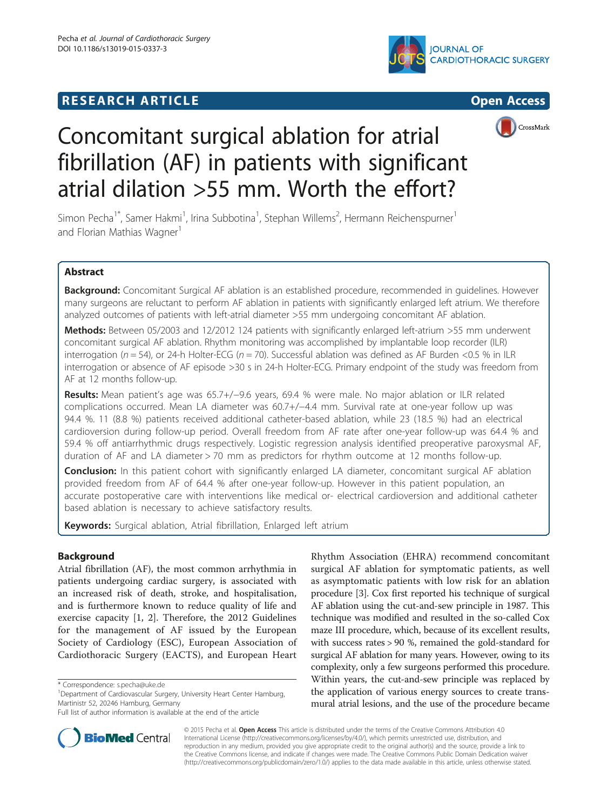# **RESEARCH ARTICLE Example 2014 The SEAR CH ACCESS**







# Concomitant surgical ablation for atrial fibrillation (AF) in patients with significant atrial dilation >55 mm. Worth the effort?

Simon Pecha<sup>1\*</sup>, Samer Hakmi<sup>1</sup>, Irina Subbotina<sup>1</sup>, Stephan Willems<sup>2</sup>, Hermann Reichenspurner<sup>1</sup> and Florian Mathias Wagner<sup>1</sup>

# Abstract

**Background:** Concomitant Surgical AF ablation is an established procedure, recommended in quidelines. However many surgeons are reluctant to perform AF ablation in patients with significantly enlarged left atrium. We therefore analyzed outcomes of patients with left-atrial diameter >55 mm undergoing concomitant AF ablation.

Methods: Between 05/2003 and 12/2012 124 patients with significantly enlarged left-atrium >55 mm underwent concomitant surgical AF ablation. Rhythm monitoring was accomplished by implantable loop recorder (ILR) interrogation ( $n = 54$ ), or 24-h Holter-ECG ( $n = 70$ ). Successful ablation was defined as AF Burden <0.5 % in ILR interrogation or absence of AF episode >30 s in 24-h Holter-ECG. Primary endpoint of the study was freedom from AF at 12 months follow-up.

Results: Mean patient's age was 65.7+/−9.6 years, 69.4 % were male. No major ablation or ILR related complications occurred. Mean LA diameter was 60.7+/−4.4 mm. Survival rate at one-year follow up was 94.4 %. 11 (8.8 %) patients received additional catheter-based ablation, while 23 (18.5 %) had an electrical cardioversion during follow-up period. Overall freedom from AF rate after one-year follow-up was 64.4 % and 59.4 % off antiarrhythmic drugs respectively. Logistic regression analysis identified preoperative paroxysmal AF, duration of AF and LA diameter > 70 mm as predictors for rhythm outcome at 12 months follow-up.

Conclusion: In this patient cohort with significantly enlarged LA diameter, concomitant surgical AF ablation provided freedom from AF of 64.4 % after one-year follow-up. However in this patient population, an accurate postoperative care with interventions like medical or- electrical cardioversion and additional catheter based ablation is necessary to achieve satisfactory results.

Keywords: Surgical ablation, Atrial fibrillation, Enlarged left atrium

## Background

Atrial fibrillation (AF), the most common arrhythmia in patients undergoing cardiac surgery, is associated with an increased risk of death, stroke, and hospitalisation, and is furthermore known to reduce quality of life and exercise capacity [1, 2]. Therefore, the 2012 Guidelines for the management of AF issued by the European Society of Cardiology (ESC), European Association of Cardiothoracic Surgery (EACTS), and European Heart

Rhythm Association (EHRA) recommend concomitant surgical AF ablation for symptomatic patients, as well as asymptomatic patients with low risk for an ablation procedure [3]. Cox first reported his technique of surgical AF ablation using the cut-and-sew principle in 1987. This technique was modified and resulted in the so-called Cox maze III procedure, which, because of its excellent results, with success rates > 90 %, remained the gold-standard for surgical AF ablation for many years. However, owing to its complexity, only a few surgeons performed this procedure. Within years, the cut-and-sew principle was replaced by the application of various energy sources to create transmural atrial lesions, and the use of the procedure became



© 2015 Pecha et al. Open Access This article is distributed under the terms of the Creative Commons Attribution 4.0 International License (http://creativecommons.org/licenses/by/4.0/), which permits unrestricted use, distribution, and reproduction in any medium, provided you give appropriate credit to the original author(s) and the source, provide a link to the Creative Commons license, and indicate if changes were made. The Creative Commons Public Domain Dedication waiver (http://creativecommons.org/publicdomain/zero/1.0/) applies to the data made available in this article, unless otherwise stated.

<sup>\*</sup> Correspondence: s.pecha@uke.de <sup>1</sup>

<sup>&</sup>lt;sup>1</sup>Department of Cardiovascular Surgery, University Heart Center Hamburg, Martinistr 52, 20246 Hamburg, Germany

Full list of author information is available at the end of the article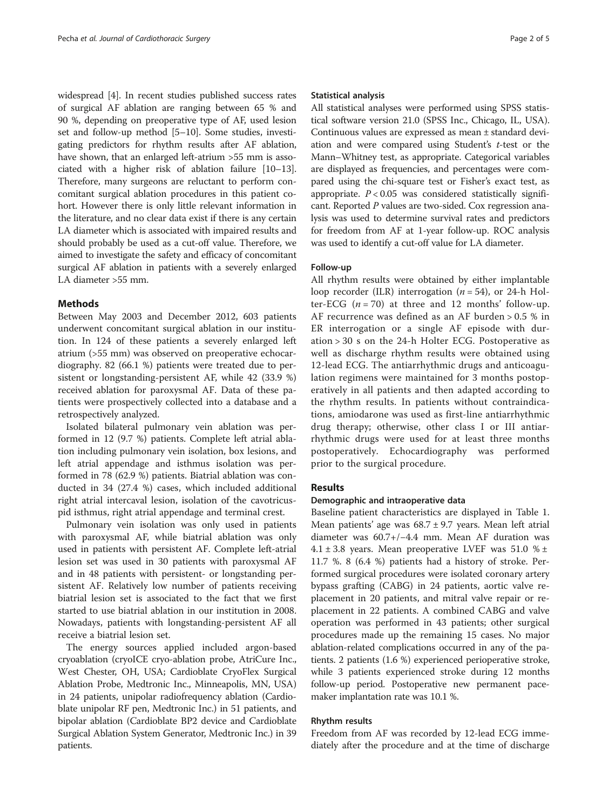widespread [4]. In recent studies published success rates of surgical AF ablation are ranging between 65 % and 90 %, depending on preoperative type of AF, used lesion set and follow-up method [5–10]. Some studies, investigating predictors for rhythm results after AF ablation, have shown, that an enlarged left-atrium >55 mm is associated with a higher risk of ablation failure [10–13]. Therefore, many surgeons are reluctant to perform concomitant surgical ablation procedures in this patient cohort. However there is only little relevant information in the literature, and no clear data exist if there is any certain LA diameter which is associated with impaired results and should probably be used as a cut-off value. Therefore, we aimed to investigate the safety and efficacy of concomitant surgical AF ablation in patients with a severely enlarged LA diameter >55 mm.

### **Methods**

Between May 2003 and December 2012, 603 patients underwent concomitant surgical ablation in our institution. In 124 of these patients a severely enlarged left atrium (>55 mm) was observed on preoperative echocardiography. 82 (66.1 %) patients were treated due to persistent or longstanding-persistent AF, while 42 (33.9 %) received ablation for paroxysmal AF. Data of these patients were prospectively collected into a database and a retrospectively analyzed.

Isolated bilateral pulmonary vein ablation was performed in 12 (9.7 %) patients. Complete left atrial ablation including pulmonary vein isolation, box lesions, and left atrial appendage and isthmus isolation was performed in 78 (62.9 %) patients. Biatrial ablation was conducted in 34 (27.4 %) cases, which included additional right atrial intercaval lesion, isolation of the cavotricuspid isthmus, right atrial appendage and terminal crest.

Pulmonary vein isolation was only used in patients with paroxysmal AF, while biatrial ablation was only used in patients with persistent AF. Complete left-atrial lesion set was used in 30 patients with paroxysmal AF and in 48 patients with persistent- or longstanding persistent AF. Relatively low number of patients receiving biatrial lesion set is associated to the fact that we first started to use biatrial ablation in our institution in 2008. Nowadays, patients with longstanding-persistent AF all receive a biatrial lesion set.

The energy sources applied included argon-based cryoablation (cryoICE cryo-ablation probe, AtriCure Inc., West Chester, OH, USA; Cardioblate CryoFlex Surgical Ablation Probe, Medtronic Inc., Minneapolis, MN, USA) in 24 patients, unipolar radiofrequency ablation (Cardioblate unipolar RF pen, Medtronic Inc.) in 51 patients, and bipolar ablation (Cardioblate BP2 device and Cardioblate Surgical Ablation System Generator, Medtronic Inc.) in 39 patients.

#### Statistical analysis

All statistical analyses were performed using SPSS statistical software version 21.0 (SPSS Inc., Chicago, IL, USA). Continuous values are expressed as mean ± standard deviation and were compared using Student's  $t$ -test or the Mann–Whitney test, as appropriate. Categorical variables are displayed as frequencies, and percentages were compared using the chi-square test or Fisher's exact test, as appropriate.  $P < 0.05$  was considered statistically significant. Reported P values are two-sided. Cox regression analysis was used to determine survival rates and predictors for freedom from AF at 1-year follow-up. ROC analysis was used to identify a cut-off value for LA diameter.

#### Follow-up

All rhythm results were obtained by either implantable loop recorder (ILR) interrogation  $(n = 54)$ , or 24-h Holter-ECG  $(n = 70)$  at three and 12 months' follow-up. AF recurrence was defined as an AF burden > 0.5 % in ER interrogation or a single AF episode with duration > 30 s on the 24-h Holter ECG. Postoperative as well as discharge rhythm results were obtained using 12-lead ECG. The antiarrhythmic drugs and anticoagulation regimens were maintained for 3 months postoperatively in all patients and then adapted according to the rhythm results. In patients without contraindications, amiodarone was used as first-line antiarrhythmic drug therapy; otherwise, other class I or III antiarrhythmic drugs were used for at least three months postoperatively. Echocardiography was performed prior to the surgical procedure.

#### Results

#### Demographic and intraoperative data

Baseline patient characteristics are displayed in Table 1. Mean patients' age was  $68.7 \pm 9.7$  years. Mean left atrial diameter was 60.7+/−4.4 mm. Mean AF duration was  $4.1 \pm 3.8$  years. Mean preoperative LVEF was 51.0 %  $\pm$ 11.7 %. 8 (6.4 %) patients had a history of stroke. Performed surgical procedures were isolated coronary artery bypass grafting (CABG) in 24 patients, aortic valve replacement in 20 patients, and mitral valve repair or replacement in 22 patients. A combined CABG and valve operation was performed in 43 patients; other surgical procedures made up the remaining 15 cases. No major ablation-related complications occurred in any of the patients. 2 patients (1.6 %) experienced perioperative stroke, while 3 patients experienced stroke during 12 months follow-up period. Postoperative new permanent pacemaker implantation rate was 10.1 %.

#### Rhythm results

Freedom from AF was recorded by 12-lead ECG immediately after the procedure and at the time of discharge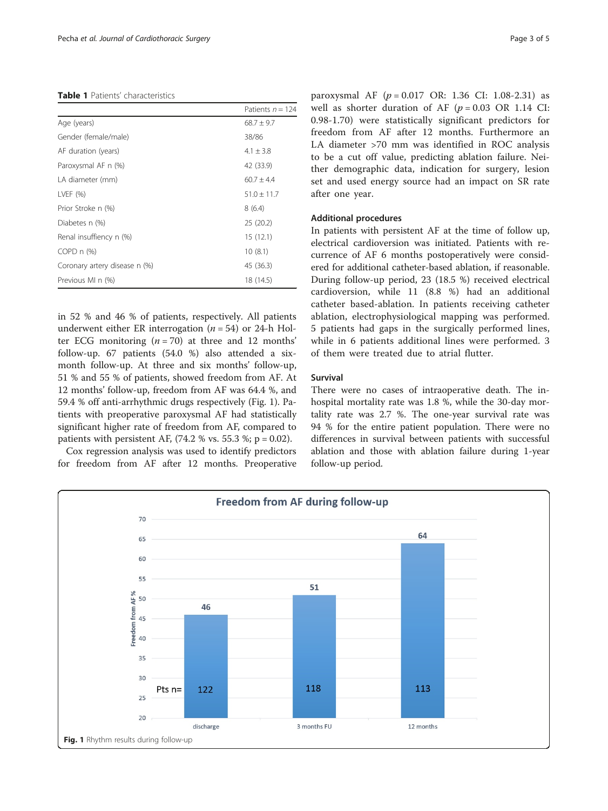#### Table 1 Patients' characteristics

|                               | Patients $n = 124$ |
|-------------------------------|--------------------|
| Age (years)                   | $68.7 \pm 9.7$     |
| Gender (female/male)          | 38/86              |
| AF duration (years)           | $4.1 \pm 3.8$      |
| Paroxysmal AF n (%)           | 42 (33.9)          |
| LA diameter (mm)              | $60.7 \pm 4.4$     |
| LVEF $(% )$                   | $51.0 \pm 11.7$    |
| Prior Stroke n (%)            | 8(6.4)             |
| Diabetes n (%)                | 25 (20.2)          |
| Renal insuffiency n (%)       | 15(12.1)           |
| $COPD n$ (%)                  | 10(8.1)            |
| Coronary artery disease n (%) | 45 (36.3)          |
| Previous MI n (%)             | 18 (14.5)          |

in 52 % and 46 % of patients, respectively. All patients underwent either ER interrogation ( $n = 54$ ) or 24-h Holter ECG monitoring  $(n = 70)$  at three and 12 months' follow-up. 67 patients (54.0 %) also attended a sixmonth follow-up. At three and six months' follow-up, 51 % and 55 % of patients, showed freedom from AF. At 12 months' follow-up, freedom from AF was 64.4 %, and 59.4 % off anti-arrhythmic drugs respectively (Fig. 1). Patients with preoperative paroxysmal AF had statistically significant higher rate of freedom from AF, compared to patients with persistent AF,  $(74.2 %$  vs. 55.3 %; p = 0.02).

Cox regression analysis was used to identify predictors for freedom from AF after 12 months. Preoperative paroxysmal AF  $(p = 0.017 \text{ OR: } 1.36 \text{ CI: } 1.08-2.31)$  as well as shorter duration of AF  $(p = 0.03 \text{ OR } 1.14 \text{ CI}:$ 0.98-1.70) were statistically significant predictors for freedom from AF after 12 months. Furthermore an LA diameter >70 mm was identified in ROC analysis to be a cut off value, predicting ablation failure. Neither demographic data, indication for surgery, lesion set and used energy source had an impact on SR rate after one year.

#### Additional procedures

In patients with persistent AF at the time of follow up, electrical cardioversion was initiated. Patients with recurrence of AF 6 months postoperatively were considered for additional catheter-based ablation, if reasonable. During follow-up period, 23 (18.5 %) received electrical cardioversion, while 11 (8.8 %) had an additional catheter based-ablation. In patients receiving catheter ablation, electrophysiological mapping was performed. 5 patients had gaps in the surgically performed lines, while in 6 patients additional lines were performed. 3 of them were treated due to atrial flutter.

#### Survival

There were no cases of intraoperative death. The inhospital mortality rate was 1.8 %, while the 30-day mortality rate was 2.7 %. The one-year survival rate was 94 % for the entire patient population. There were no differences in survival between patients with successful ablation and those with ablation failure during 1-year follow-up period.

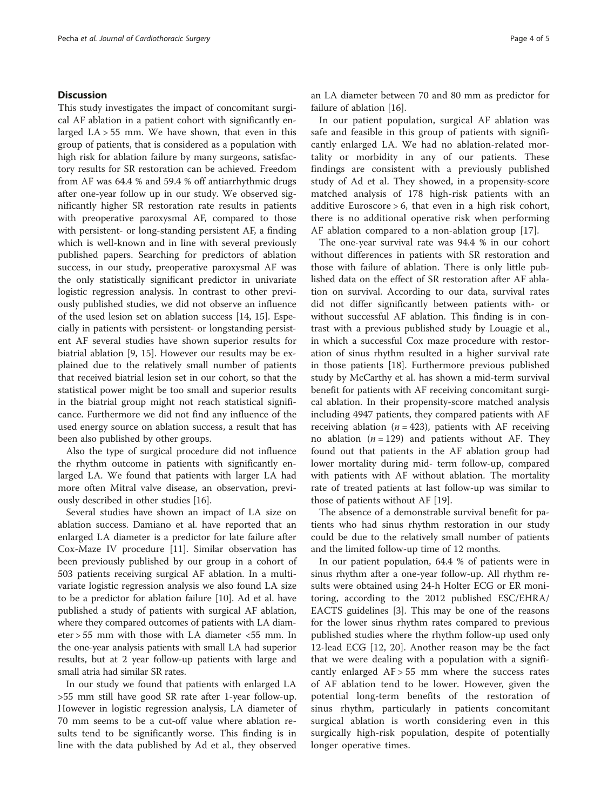#### **Discussion**

This study investigates the impact of concomitant surgical AF ablation in a patient cohort with significantly enlarged  $LA > 55$  mm. We have shown, that even in this group of patients, that is considered as a population with high risk for ablation failure by many surgeons, satisfactory results for SR restoration can be achieved. Freedom from AF was 64.4 % and 59.4 % off antiarrhythmic drugs after one-year follow up in our study. We observed significantly higher SR restoration rate results in patients with preoperative paroxysmal AF, compared to those with persistent- or long-standing persistent AF, a finding which is well-known and in line with several previously published papers. Searching for predictors of ablation success, in our study, preoperative paroxysmal AF was the only statistically significant predictor in univariate logistic regression analysis. In contrast to other previously published studies, we did not observe an influence of the used lesion set on ablation success [14, 15]. Especially in patients with persistent- or longstanding persistent AF several studies have shown superior results for biatrial ablation [9, 15]. However our results may be explained due to the relatively small number of patients that received biatrial lesion set in our cohort, so that the statistical power might be too small and superior results in the biatrial group might not reach statistical significance. Furthermore we did not find any influence of the used energy source on ablation success, a result that has been also published by other groups.

Also the type of surgical procedure did not influence the rhythm outcome in patients with significantly enlarged LA. We found that patients with larger LA had more often Mitral valve disease, an observation, previously described in other studies [16].

Several studies have shown an impact of LA size on ablation success. Damiano et al. have reported that an enlarged LA diameter is a predictor for late failure after Cox-Maze IV procedure [11]. Similar observation has been previously published by our group in a cohort of 503 patients receiving surgical AF ablation. In a multivariate logistic regression analysis we also found LA size to be a predictor for ablation failure [10]. Ad et al. have published a study of patients with surgical AF ablation, where they compared outcomes of patients with LA diameter > 55 mm with those with LA diameter <55 mm. In the one-year analysis patients with small LA had superior results, but at 2 year follow-up patients with large and small atria had similar SR rates.

In our study we found that patients with enlarged LA >55 mm still have good SR rate after 1-year follow-up. However in logistic regression analysis, LA diameter of 70 mm seems to be a cut-off value where ablation results tend to be significantly worse. This finding is in line with the data published by Ad et al., they observed

an LA diameter between 70 and 80 mm as predictor for failure of ablation [16].

In our patient population, surgical AF ablation was safe and feasible in this group of patients with significantly enlarged LA. We had no ablation-related mortality or morbidity in any of our patients. These findings are consistent with a previously published study of Ad et al. They showed, in a propensity-score matched analysis of 178 high-risk patients with an additive Euroscore > 6, that even in a high risk cohort, there is no additional operative risk when performing AF ablation compared to a non-ablation group [17].

The one-year survival rate was 94.4 % in our cohort without differences in patients with SR restoration and those with failure of ablation. There is only little published data on the effect of SR restoration after AF ablation on survival. According to our data, survival rates did not differ significantly between patients with- or without successful AF ablation. This finding is in contrast with a previous published study by Louagie et al., in which a successful Cox maze procedure with restoration of sinus rhythm resulted in a higher survival rate in those patients [18]. Furthermore previous published study by McCarthy et al. has shown a mid-term survival benefit for patients with AF receiving concomitant surgical ablation. In their propensity-score matched analysis including 4947 patients, they compared patients with AF receiving ablation ( $n = 423$ ), patients with AF receiving no ablation  $(n = 129)$  and patients without AF. They found out that patients in the AF ablation group had lower mortality during mid- term follow-up, compared with patients with AF without ablation. The mortality rate of treated patients at last follow-up was similar to those of patients without AF [19].

The absence of a demonstrable survival benefit for patients who had sinus rhythm restoration in our study could be due to the relatively small number of patients and the limited follow-up time of 12 months.

In our patient population, 64.4 % of patients were in sinus rhythm after a one-year follow-up. All rhythm results were obtained using 24-h Holter ECG or ER monitoring, according to the 2012 published ESC/EHRA/ EACTS guidelines [3]. This may be one of the reasons for the lower sinus rhythm rates compared to previous published studies where the rhythm follow-up used only 12-lead ECG [12, 20]. Another reason may be the fact that we were dealing with a population with a significantly enlarged  $AF > 55$  mm where the success rates of AF ablation tend to be lower. However, given the potential long-term benefits of the restoration of sinus rhythm, particularly in patients concomitant surgical ablation is worth considering even in this surgically high-risk population, despite of potentially longer operative times.